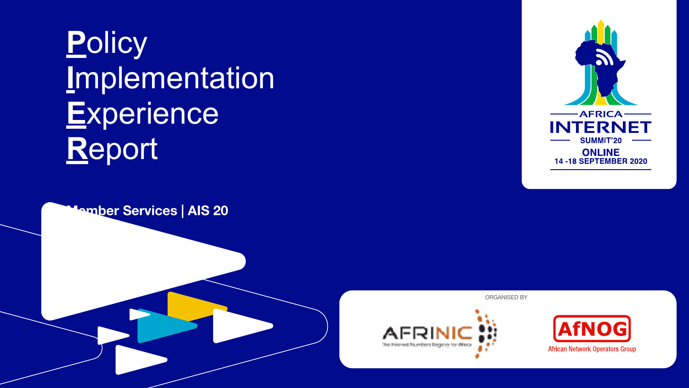# **P**olicy **I**mplementation **E**xperience **R**eport





ORGANISED BY



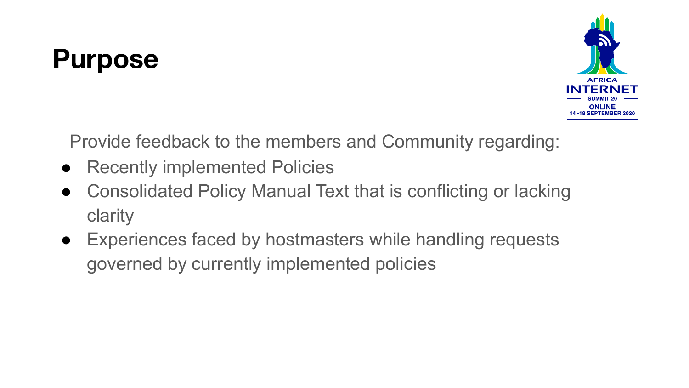# **Purpose**



Provide feedback to the members and Community regarding:

- Recently implemented Policies
- Consolidated Policy Manual Text that is conflicting or lacking clarity
- Experiences faced by hostmasters while handling requests governed by currently implemented policies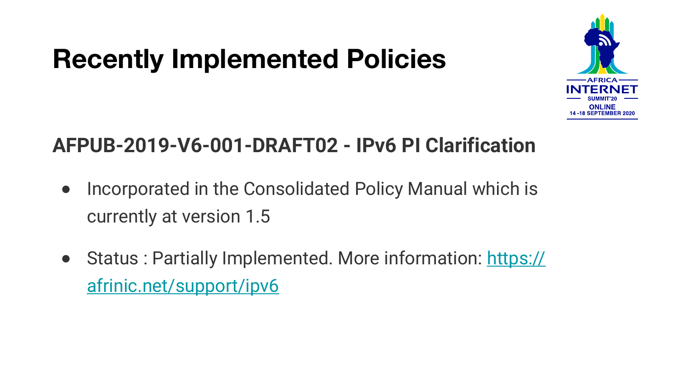### **Recently Implemented Policies**



#### **AFPUB-2019-V6-001-DRAFT02 - IPv6 PI Clarification**

- Incorporated in the Consolidated Policy Manual which is currently at version 1.5
- Status : Partially Implemented. More information: [https://](https://afrinic.net/support/ipv6) [afrinic.net/support/ipv6](https://afrinic.net/support/ipv6)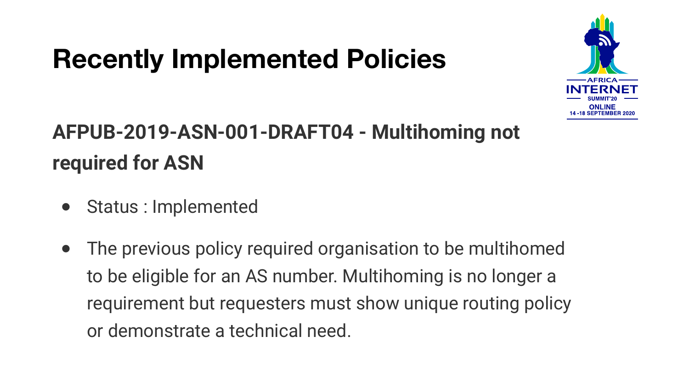## **Recently Implemented Policies**



#### **AFPUB-2019-ASN-001-DRAFT04 - Multihoming not required for ASN**

- Status : Implemented
- The previous policy required organisation to be multihomed to be eligible for an AS number. Multihoming is no longer a requirement but requesters must show unique routing policy or demonstrate a technical need.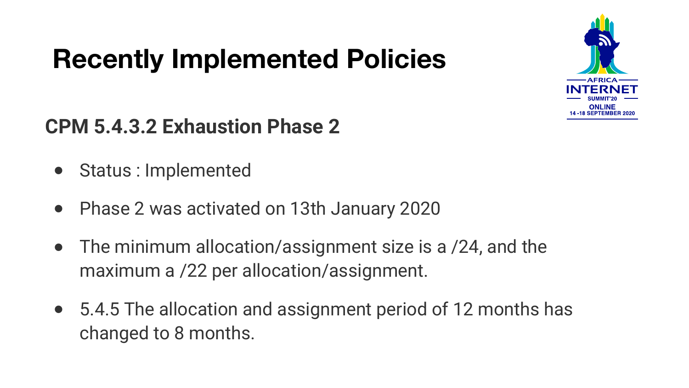# **Recently Implemented Policies**



#### **CPM 5.4.3.2 Exhaustion Phase 2**

- Status : Implemented
- Phase 2 was activated on 13th January 2020
- The minimum allocation/assignment size is a /24, and the maximum a /22 per allocation/assignment.
- 5.4.5 The allocation and assignment period of 12 months has changed to 8 months.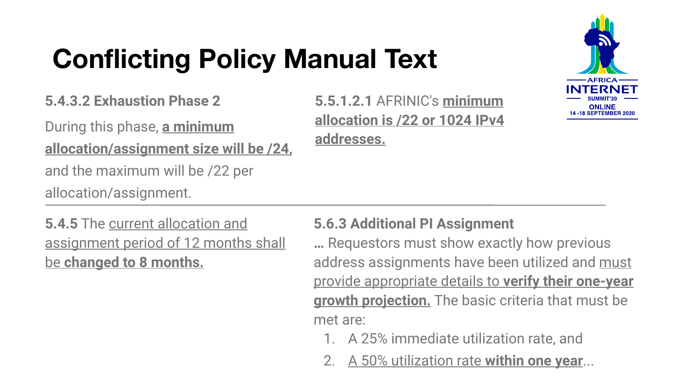# **Conflicting Policy Manual Text**

**5.4.3.2 Exhaustion Phase 2** 

During this phase, **a minimum allocation/assignment size will be /24,**

and the maximum will be /22 per

allocation/assignment.

**5.5.1.2.1** AFRINIC's **minimum allocation is /22 or 1024 IPv4 addresses.**

**5.4.5** The current allocation and assignment period of 12 months shall be **changed to 8 months.**

#### **5.6.3 Additional PI Assignment**

**…** Requestors must show exactly how previous address assignments have been utilized and must provide appropriate details to **verify their one-year growth projection.** The basic criteria that must be met are:

- 1. A 25% immediate utilization rate, and
- 2. A 50% utilization rate **within one year**...

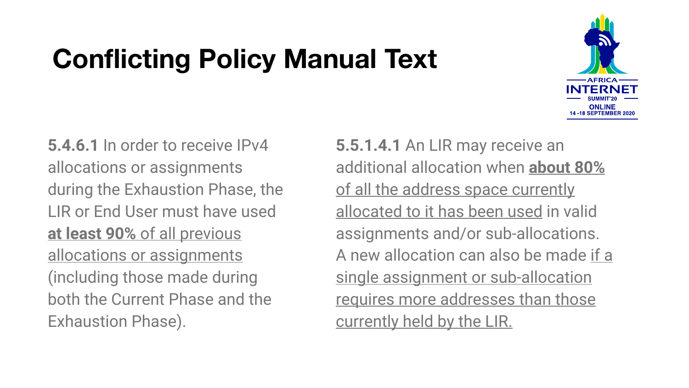# **Conflicting Policy Manual Text**



**5.4.6.1** In order to receive IPv4 allocations or assignments during the Exhaustion Phase, the LIR or End User must have used **at least 90%** of all previous allocations or assignments (including those made during both the Current Phase and the Exhaustion Phase).

**5.5.1.4.1** An LIR may receive an additional allocation when **about 80%** of all the address space currently allocated to it has been used in valid assignments and/or sub-allocations. A new allocation can also be made if a single assignment or sub-allocation requires more addresses than those currently held by the LIR.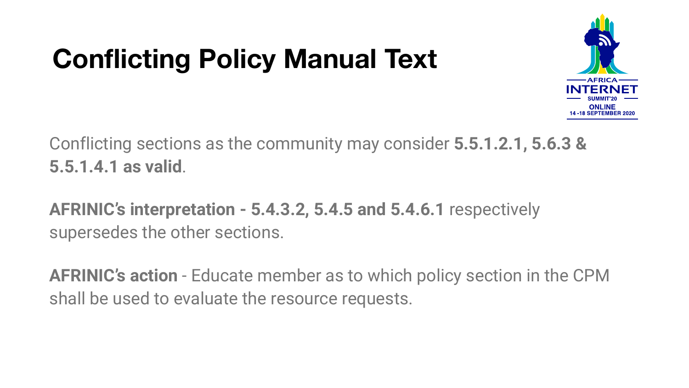# **Conflicting Policy Manual Text**



Conflicting sections as the community may consider **5.5.1.2.1, 5.6.3 & 5.5.1.4.1 as valid**.

**AFRINIC's interpretation - 5.4.3.2, 5.4.5 and 5.4.6.1** respectively supersedes the other sections.

**AFRINIC's action** - Educate member as to which policy section in the CPM shall be used to evaluate the resource requests.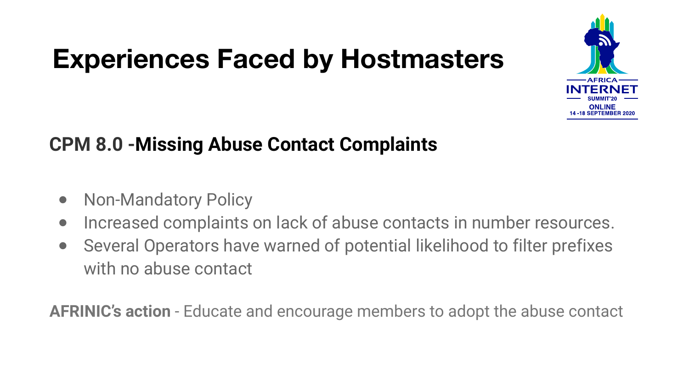# **Experiences Faced by Hostmasters**



#### **CPM 8.0 -Missing Abuse Contact Complaints**

- Non-Mandatory Policy
- Increased complaints on lack of abuse contacts in number resources.
- Several Operators have warned of potential likelihood to filter prefixes with no abuse contact

**AFRINIC's action** - Educate and encourage members to adopt the abuse contact